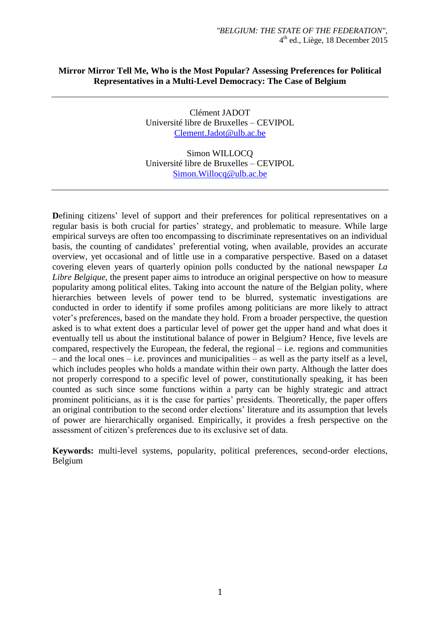# **Mirror Mirror Tell Me, Who is the Most Popular? Assessing Preferences for Political Representatives in a Multi-Level Democracy: The Case of Belgium**

Clément JADOT Université libre de Bruxelles – CEVIPOL [Clement.Jadot@ulb.ac.be](mailto:Clement.Jadot@ulb.ac.be)

Simon WILLOCQ Université libre de Bruxelles – CEVIPOL [Simon.Willocq@ulb.ac.be](mailto:Simon.Willocq@ulb.ac.be)

**D**efining citizens' level of support and their preferences for political representatives on a regular basis is both crucial for parties' strategy, and problematic to measure. While large empirical surveys are often too encompassing to discriminate representatives on an individual basis, the counting of candidates' preferential voting, when available, provides an accurate overview, yet occasional and of little use in a comparative perspective. Based on a dataset covering eleven years of quarterly opinion polls conducted by the national newspaper *La Libre Belgique*, the present paper aims to introduce an original perspective on how to measure popularity among political elites. Taking into account the nature of the Belgian polity, where hierarchies between levels of power tend to be blurred, systematic investigations are conducted in order to identify if some profiles among politicians are more likely to attract voter's preferences, based on the mandate they hold. From a broader perspective, the question asked is to what extent does a particular level of power get the upper hand and what does it eventually tell us about the institutional balance of power in Belgium? Hence, five levels are compared, respectively the European, the federal, the regional  $-$  i.e. regions and communities – and the local ones – i.e. provinces and municipalities – as well as the party itself as a level, which includes peoples who holds a mandate within their own party. Although the latter does not properly correspond to a specific level of power, constitutionally speaking, it has been counted as such since some functions within a party can be highly strategic and attract prominent politicians, as it is the case for parties' presidents. Theoretically, the paper offers an original contribution to the second order elections' literature and its assumption that levels of power are hierarchically organised. Empirically, it provides a fresh perspective on the assessment of citizen's preferences due to its exclusive set of data.

**Keywords:** multi-level systems, popularity, political preferences, second-order elections, Belgium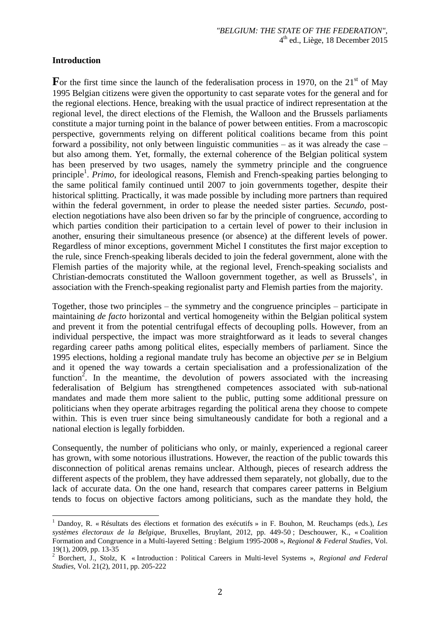#### **Introduction**

 $\overline{a}$ 

For the first time since the launch of the federalisation process in 1970, on the  $21<sup>st</sup>$  of May 1995 Belgian citizens were given the opportunity to cast separate votes for the general and for the regional elections. Hence, breaking with the usual practice of indirect representation at the regional level, the direct elections of the Flemish, the Walloon and the Brussels parliaments constitute a major turning point in the balance of power between entities. From a macroscopic perspective, governments relying on different political coalitions became from this point forward a possibility, not only between linguistic communities – as it was already the case – but also among them. Yet, formally, the external coherence of the Belgian political system has been preserved by two usages, namely the symmetry principle and the congruence principle<sup>1</sup>. *Primo*, for ideological reasons, Flemish and French-speaking parties belonging to the same political family continued until 2007 to join governments together, despite their historical splitting. Practically, it was made possible by including more partners than required within the federal government, in order to please the needed sister parties. *Secundo*, postelection negotiations have also been driven so far by the principle of congruence, according to which parties condition their participation to a certain level of power to their inclusion in another, ensuring their simultaneous presence (or absence) at the different levels of power. Regardless of minor exceptions, government Michel I constitutes the first major exception to the rule, since French-speaking liberals decided to join the federal government, alone with the Flemish parties of the majority while, at the regional level, French-speaking socialists and Christian-democrats constituted the Walloon government together, as well as Brussels', in association with the French-speaking regionalist party and Flemish parties from the majority.

Together, those two principles – the symmetry and the congruence principles – participate in maintaining *de facto* horizontal and vertical homogeneity within the Belgian political system and prevent it from the potential centrifugal effects of decoupling polls. However, from an individual perspective, the impact was more straightforward as it leads to several changes regarding career paths among political elites, especially members of parliament. Since the 1995 elections, holding a regional mandate truly has become an objective *per se* in Belgium and it opened the way towards a certain specialisation and a professionalization of the function<sup>2</sup>. In the meantime, the devolution of powers associated with the increasing federalisation of Belgium has strengthened competences associated with sub-national mandates and made them more salient to the public, putting some additional pressure on politicians when they operate arbitrages regarding the political arena they choose to compete within. This is even truer since being simultaneously candidate for both a regional and a national election is legally forbidden.

Consequently, the number of politicians who only, or mainly, experienced a regional career has grown, with some notorious illustrations. However, the reaction of the public towards this disconnection of political arenas remains unclear. Although, pieces of research address the different aspects of the problem, they have addressed them separately, not globally, due to the lack of accurate data. On the one hand, research that compares career patterns in Belgium tends to focus on objective factors among politicians, such as the mandate they hold, the

<sup>1</sup> Dandoy, R. « Résultats des élections et formation des exécutifs » in F. Bouhon, M. Reuchamps (eds.), *Les systèmes électoraux de la Belgique*, Bruxelles, Bruylant, 2012, pp. 449-50 ; Deschouwer, K., « Coalition Formation and Congruence in a Multi-layered Setting : Belgium 1995-2008 », *Regional & Federal Studies*, Vol. 19(1), 2009, pp. 13-35

<sup>2</sup> Borchert, J., Stolz, K « Introduction : Political Careers in Multi-level Systems », *Regional and Federal Studies*, Vol. 21(2), 2011, pp. 205-222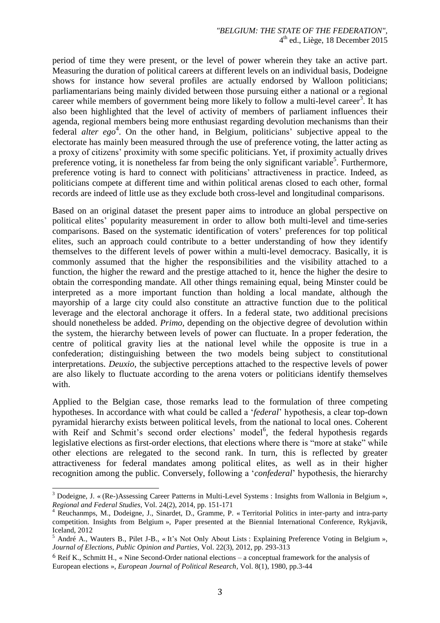period of time they were present, or the level of power wherein they take an active part. Measuring the duration of political careers at different levels on an individual basis, Dodeigne shows for instance how several profiles are actually endorsed by Walloon politicians; parliamentarians being mainly divided between those pursuing either a national or a regional career while members of government being more likely to follow a multi-level career<sup>3</sup>. It has also been highlighted that the level of activity of members of parliament influences their agenda, regional members being more enthusiast regarding devolution mechanisms than their federal *alter ego*<sup>4</sup>. On the other hand, in Belgium, politicians' subjective appeal to the electorate has mainly been measured through the use of preference voting, the latter acting as a proxy of citizens' proximity with some specific politicians. Yet, if proximity actually drives preference voting, it is nonetheless far from being the only significant variable<sup>5</sup>. Furthermore, preference voting is hard to connect with politicians' attractiveness in practice. Indeed, as politicians compete at different time and within political arenas closed to each other, formal records are indeed of little use as they exclude both cross-level and longitudinal comparisons.

Based on an original dataset the present paper aims to introduce an global perspective on political elites' popularity measurement in order to allow both multi-level and time-series comparisons. Based on the systematic identification of voters' preferences for top political elites, such an approach could contribute to a better understanding of how they identify themselves to the different levels of power within a multi-level democracy. Basically, it is commonly assumed that the higher the responsibilities and the visibility attached to a function, the higher the reward and the prestige attached to it, hence the higher the desire to obtain the corresponding mandate. All other things remaining equal, being Minster could be interpreted as a more important function than holding a local mandate, although the mayorship of a large city could also constitute an attractive function due to the political leverage and the electoral anchorage it offers. In a federal state, two additional precisions should nonetheless be added. *Primo*, depending on the objective degree of devolution within the system, the hierarchy between levels of power can fluctuate. In a proper federation, the centre of political gravity lies at the national level while the opposite is true in a confederation; distinguishing between the two models being subject to constitutional interpretations. *Deuxio*, the subjective perceptions attached to the respective levels of power are also likely to fluctuate according to the arena voters or politicians identify themselves with.

Applied to the Belgian case, those remarks lead to the formulation of three competing hypotheses. In accordance with what could be called a '*federal*' hypothesis, a clear top-down pyramidal hierarchy exists between political levels, from the national to local ones. Coherent with Reif and Schmit's second order elections' model<sup>6</sup>, the federal hypothesis regards legislative elections as first-order elections, that elections where there is "more at stake" while other elections are relegated to the second rank. In turn, this is reflected by greater attractiveness for federal mandates among political elites, as well as in their higher recognition among the public. Conversely, following a '*confederal*' hypothesis, the hierarchy

 $\overline{a}$ <sup>3</sup> Dodeigne, J. « (Re-)Assessing Career Patterns in Multi-Level Systems : Insights from Wallonia in Belgium », *Regional and Federal Studies*, Vol. 24(2), 2014, pp. 151-171

<sup>4</sup> Reuchanmps, M., Dodeigne, J., Sinardet, D., Gramme, P. « Territorial Politics in inter-party and intra-party competition. Insights from Belgium », Paper presented at the Biennial International Conference, Rykjavik, Iceland, 2012

<sup>&</sup>lt;sup>5</sup> André A., Wauters B., Pilet J-B., « It's Not Only About Lists : Explaining Preference Voting in Belgium », *Journal of Elections, Public Opinion and Parties*, Vol. 22(3), 2012, pp. 293-313

<sup>6</sup> Reif K., Schmitt H., « Nine Second-Order national elections – a conceptual framework for the analysis of European elections », *European Journal of Political Research*, Vol. 8(1), 1980, pp.3-44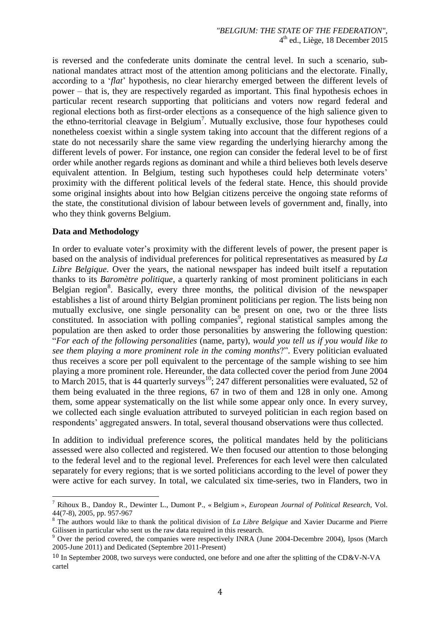is reversed and the confederate units dominate the central level. In such a scenario, subnational mandates attract most of the attention among politicians and the electorate. Finally, according to a '*flat*' hypothesis, no clear hierarchy emerged between the different levels of power – that is, they are respectively regarded as important. This final hypothesis echoes in particular recent research supporting that politicians and voters now regard federal and regional elections both as first-order elections as a consequence of the high salience given to the ethno-territorial cleavage in Belgium<sup>7</sup>. Mutually exclusive, those four hypotheses could nonetheless coexist within a single system taking into account that the different regions of a state do not necessarily share the same view regarding the underlying hierarchy among the different levels of power. For instance, one region can consider the federal level to be of first order while another regards regions as dominant and while a third believes both levels deserve equivalent attention. In Belgium, testing such hypotheses could help determinate voters' proximity with the different political levels of the federal state. Hence, this should provide some original insights about into how Belgian citizens perceive the ongoing state reforms of the state, the constitutional division of labour between levels of government and, finally, into who they think governs Belgium.

## **Data and Methodology**

 $\overline{a}$ 

In order to evaluate voter's proximity with the different levels of power, the present paper is based on the analysis of individual preferences for political representatives as measured by *La Libre Belgique*. Over the years, the national newspaper has indeed built itself a reputation thanks to its *Baromètre politique*, a quarterly ranking of most prominent politicians in each Belgian region<sup>8</sup>. Basically, every three months, the political division of the newspaper establishes a list of around thirty Belgian prominent politicians per region. The lists being non mutually exclusive, one single personality can be present on one, two or the three lists constituted. In association with polling companies<sup>9</sup>, regional statistical samples among the population are then asked to order those personalities by answering the following question: "*For each of the following personalities* (name, party), *would you tell us if you would like to see them playing a more prominent role in the coming months*?". Every politician evaluated thus receives a score per poll equivalent to the percentage of the sample wishing to see him playing a more prominent role. Hereunder, the data collected cover the period from June 2004 to March 2015, that is 44 quarterly surveys<sup>10</sup>; 247 different personalities were evaluated, 52 of them being evaluated in the three regions, 67 in two of them and 128 in only one. Among them, some appear systematically on the list while some appear only once. In every survey, we collected each single evaluation attributed to surveyed politician in each region based on respondents' aggregated answers. In total, several thousand observations were thus collected.

In addition to individual preference scores, the political mandates held by the politicians assessed were also collected and registered. We then focused our attention to those belonging to the federal level and to the regional level. Preferences for each level were then calculated separately for every regions; that is we sorted politicians according to the level of power they were active for each survey. In total, we calculated six time-series, two in Flanders, two in

<sup>7</sup> Rihoux B., Dandoy R., Dewinter L., Dumont P., « Belgium », *European Journal of Political Research,* Vol. 44(7-8), 2005, pp. 957-967

<sup>&</sup>lt;sup>8</sup> The authors would like to thank the political division of *La Libre Belgique* and Xavier Ducarme and Pierre Gilissen in particular who sent us the raw data required in this research.

<sup>&</sup>lt;sup>9</sup> Over the period covered, the companies were respectively INRA (June 2004-Decembre 2004), Ipsos (March 2005-June 2011) and Dedicated (Septembre 2011-Present)

 $10$  In September 2008, two surveys were conducted, one before and one after the splitting of the CD&V-N-VA cartel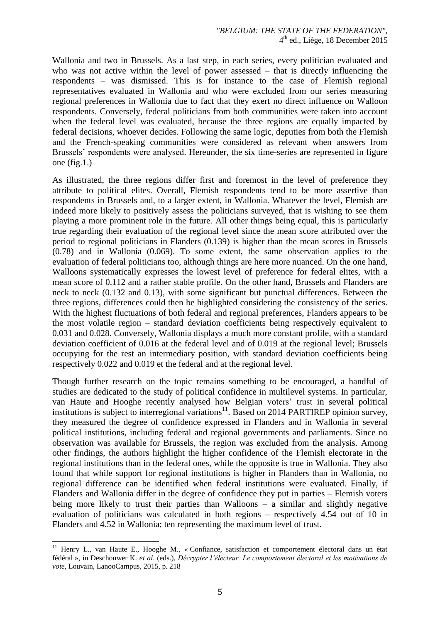Wallonia and two in Brussels. As a last step, in each series, every politician evaluated and who was not active within the level of power assessed – that is directly influencing the respondents – was dismissed. This is for instance to the case of Flemish regional representatives evaluated in Wallonia and who were excluded from our series measuring regional preferences in Wallonia due to fact that they exert no direct influence on Walloon respondents. Conversely, federal politicians from both communities were taken into account when the federal level was evaluated, because the three regions are equally impacted by federal decisions, whoever decides. Following the same logic, deputies from both the Flemish and the French-speaking communities were considered as relevant when answers from Brussels' respondents were analysed. Hereunder, the six time-series are represented in figure one (fig.1.)

As illustrated, the three regions differ first and foremost in the level of preference they attribute to political elites. Overall, Flemish respondents tend to be more assertive than respondents in Brussels and, to a larger extent, in Wallonia. Whatever the level, Flemish are indeed more likely to positively assess the politicians surveyed, that is wishing to see them playing a more prominent role in the future. All other things being equal, this is particularly true regarding their evaluation of the regional level since the mean score attributed over the period to regional politicians in Flanders (0.139) is higher than the mean scores in Brussels (0.78) and in Wallonia (0.069). To some extent, the same observation applies to the evaluation of federal politicians too, although things are here more nuanced. On the one hand, Walloons systematically expresses the lowest level of preference for federal elites, with a mean score of 0.112 and a rather stable profile. On the other hand, Brussels and Flanders are neck to neck (0.132 and 0.13), with some significant but punctual differences. Between the three regions, differences could then be highlighted considering the consistency of the series. With the highest fluctuations of both federal and regional preferences, Flanders appears to be the most volatile region – standard deviation coefficients being respectively equivalent to 0.031 and 0.028. Conversely, Wallonia displays a much more constant profile, with a standard deviation coefficient of 0.016 at the federal level and of 0.019 at the regional level; Brussels occupying for the rest an intermediary position, with standard deviation coefficients being respectively 0.022 and 0.019 et the federal and at the regional level.

Though further research on the topic remains something to be encouraged, a handful of studies are dedicated to the study of political confidence in multilevel systems. In particular, van Haute and Hooghe recently analysed how Belgian voters' trust in several political institutions is subject to interregional variations<sup>11</sup>. Based on 2014 PARTIREP opinion survey, they measured the degree of confidence expressed in Flanders and in Wallonia in several political institutions, including federal and regional governments and parliaments. Since no observation was available for Brussels, the region was excluded from the analysis. Among other findings, the authors highlight the higher confidence of the Flemish electorate in the regional institutions than in the federal ones, while the opposite is true in Wallonia. They also found that while support for regional institutions is higher in Flanders than in Wallonia, no regional difference can be identified when federal institutions were evaluated. Finally, if Flanders and Wallonia differ in the degree of confidence they put in parties – Flemish voters being more likely to trust their parties than Walloons – a similar and slightly negative evaluation of politicians was calculated in both regions – respectively 4.54 out of 10 in Flanders and 4.52 in Wallonia; ten representing the maximum level of trust.

 $\overline{a}$ 

<sup>&</sup>lt;sup>11</sup> Henry L., van Haute E., Hooghe M., « Confiance, satisfaction et comportement électoral dans un état fédéral », in Deschouwer K. *et al*. (eds.), *Décrypter l'électeur. Le comportement électoral et les motivations de vote*, Louvain, LanooCampus, 2015, p. 218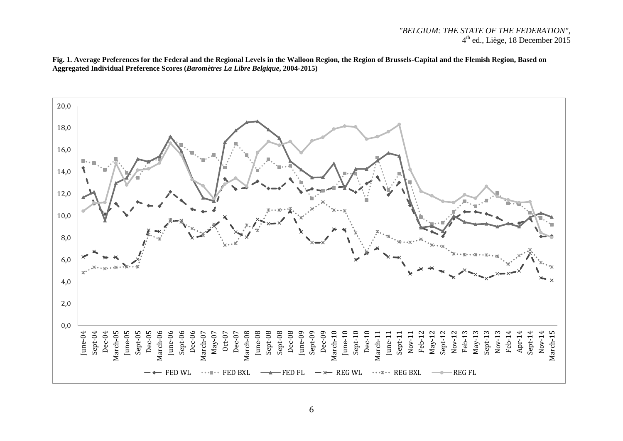### *"BELGIUM: THE STATE OF THE FEDERATION",*  4 th ed., Liège, 18 December 2015

**Fig. 1. Average Preferences for the Federal and the Regional Levels in the Walloon Region, the Region of Brussels-Capital and the Flemish Region, Based on Aggregated Individual Preference Scores (***Baromètres La Libre Belgique***, 2004-2015)** 

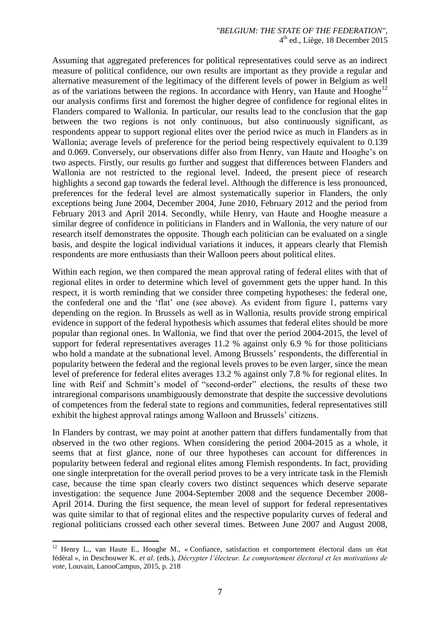Assuming that aggregated preferences for political representatives could serve as an indirect measure of political confidence, our own results are important as they provide a regular and alternative measurement of the legitimacy of the different levels of power in Belgium as well as of the variations between the regions. In accordance with Henry, van Haute and Hooghe<sup>12</sup> our analysis confirms first and foremost the higher degree of confidence for regional elites in Flanders compared to Wallonia. In particular, our results lead to the conclusion that the gap between the two regions is not only continuous, but also continuously significant, as respondents appear to support regional elites over the period twice as much in Flanders as in Wallonia; average levels of preference for the period being respectively equivalent to 0.139 and 0.069. Conversely, our observations differ also from Henry, van Haute and Hooghe's on two aspects. Firstly, our results go further and suggest that differences between Flanders and Wallonia are not restricted to the regional level. Indeed, the present piece of research highlights a second gap towards the federal level. Although the difference is less pronounced, preferences for the federal level are almost systematically superior in Flanders, the only exceptions being June 2004, December 2004, June 2010, February 2012 and the period from February 2013 and April 2014. Secondly, while Henry, van Haute and Hooghe measure a similar degree of confidence in politicians in Flanders and in Wallonia, the very nature of our research itself demonstrates the opposite. Though each politician can be evaluated on a single basis, and despite the logical individual variations it induces, it appears clearly that Flemish respondents are more enthusiasts than their Walloon peers about political elites.

Within each region, we then compared the mean approval rating of federal elites with that of regional elites in order to determine which level of government gets the upper hand. In this respect, it is worth reminding that we consider three competing hypotheses: the federal one, the confederal one and the 'flat' one (see above). As evident from figure 1, patterns vary depending on the region. In Brussels as well as in Wallonia, results provide strong empirical evidence in support of the federal hypothesis which assumes that federal elites should be more popular than regional ones. In Wallonia, we find that over the period 2004-2015, the level of support for federal representatives averages 11.2 % against only 6.9 % for those politicians who hold a mandate at the subnational level. Among Brussels' respondents, the differential in popularity between the federal and the regional levels proves to be even larger, since the mean level of preference for federal elites averages 13.2 % against only 7.8 % for regional elites. In line with Reif and Schmitt's model of "second-order" elections, the results of these two intraregional comparisons unambiguously demonstrate that despite the successive devolutions of competences from the federal state to regions and communities, federal representatives still exhibit the highest approval ratings among Walloon and Brussels' citizens.

In Flanders by contrast, we may point at another pattern that differs fundamentally from that observed in the two other regions. When considering the period 2004-2015 as a whole, it seems that at first glance, none of our three hypotheses can account for differences in popularity between federal and regional elites among Flemish respondents. In fact, providing one single interpretation for the overall period proves to be a very intricate task in the Flemish case, because the time span clearly covers two distinct sequences which deserve separate investigation: the sequence June 2004-September 2008 and the sequence December 2008- April 2014. During the first sequence, the mean level of support for federal representatives was quite similar to that of regional elites and the respective popularity curves of federal and regional politicians crossed each other several times. Between June 2007 and August 2008,

 $\overline{a}$ 

<sup>&</sup>lt;sup>12</sup> Henry L., van Haute E., Hooghe M., « Confiance, satisfaction et comportement électoral dans un état fédéral », in Deschouwer K. *et al*. (eds.), *Décrypter l'électeur. Le comportement électoral et les motivations de vote*, Louvain, LanooCampus, 2015, p. 218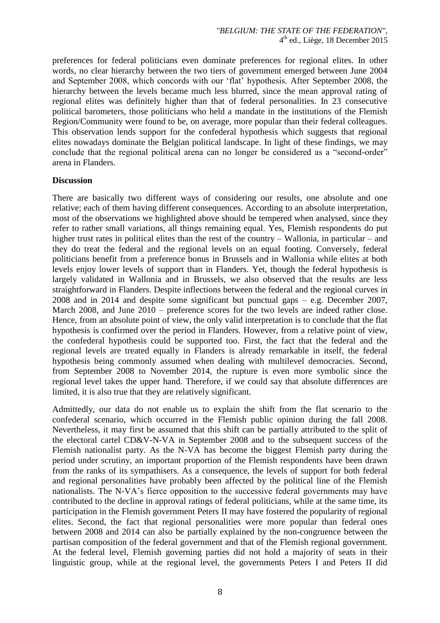preferences for federal politicians even dominate preferences for regional elites. In other words, no clear hierarchy between the two tiers of government emerged between June 2004 and September 2008, which concords with our 'flat' hypothesis. After September 2008, the hierarchy between the levels became much less blurred, since the mean approval rating of regional elites was definitely higher than that of federal personalities. In 23 consecutive political barometers, those politicians who held a mandate in the institutions of the Flemish Region/Community were found to be, on average, more popular than their federal colleagues. This observation lends support for the confederal hypothesis which suggests that regional elites nowadays dominate the Belgian political landscape. In light of these findings, we may conclude that the regional political arena can no longer be considered as a "second-order" arena in Flanders.

#### **Discussion**

There are basically two different ways of considering our results, one absolute and one relative; each of them having different consequences. According to an absolute interpretation, most of the observations we highlighted above should be tempered when analysed, since they refer to rather small variations, all things remaining equal. Yes, Flemish respondents do put higher trust rates in political elites than the rest of the country – Wallonia, in particular – and they do treat the federal and the regional levels on an equal footing. Conversely, federal politicians benefit from a preference bonus in Brussels and in Wallonia while elites at both levels enjoy lower levels of support than in Flanders. Yet, though the federal hypothesis is largely validated in Wallonia and in Brussels, we also observed that the results are less straightforward in Flanders. Despite inflections between the federal and the regional curves in 2008 and in 2014 and despite some significant but punctual gaps – e.g. December 2007, March 2008, and June 2010 – preference scores for the two levels are indeed rather close. Hence, from an absolute point of view, the only valid interpretation is to conclude that the flat hypothesis is confirmed over the period in Flanders. However, from a relative point of view, the confederal hypothesis could be supported too. First, the fact that the federal and the regional levels are treated equally in Flanders is already remarkable in itself, the federal hypothesis being commonly assumed when dealing with multilevel democracies. Second, from September 2008 to November 2014, the rupture is even more symbolic since the regional level takes the upper hand. Therefore, if we could say that absolute differences are limited, it is also true that they are relatively significant.

Admittedly, our data do not enable us to explain the shift from the flat scenario to the confederal scenario, which occurred in the Flemish public opinion during the fall 2008. Nevertheless, it may first be assumed that this shift can be partially attributed to the split of the electoral cartel CD&V-N-VA in September 2008 and to the subsequent success of the Flemish nationalist party. As the N-VA has become the biggest Flemish party during the period under scrutiny, an important proportion of the Flemish respondents have been drawn from the ranks of its sympathisers. As a consequence, the levels of support for both federal and regional personalities have probably been affected by the political line of the Flemish nationalists. The N-VA's fierce opposition to the successive federal governments may have contributed to the decline in approval ratings of federal politicians, while at the same time, its participation in the Flemish government Peters II may have fostered the popularity of regional elites. Second, the fact that regional personalities were more popular than federal ones between 2008 and 2014 can also be partially explained by the non-congruence between the partisan composition of the federal government and that of the Flemish regional government. At the federal level, Flemish governing parties did not hold a majority of seats in their linguistic group, while at the regional level, the governments Peters I and Peters II did